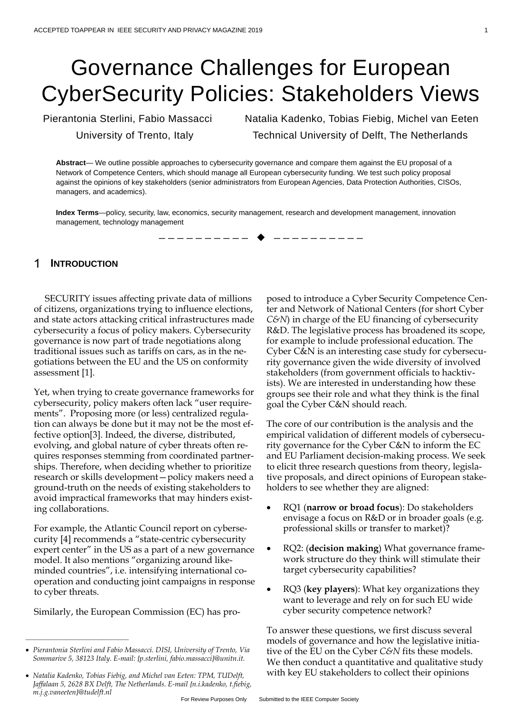# Governance Challenges for European CyberSecurity Policies: Stakeholders Views

Pierantonia Sterlini, Fabio Massacci Natalia Kadenko, Tobias Fiebig, Michel van Eeten University of Trento, Italy Technical University of Delft, The Netherlands

**Abstract**— We outline possible approaches to cybersecurity governance and compare them against the EU proposal of a Network of Competence Centers, which should manage all European cybersecurity funding. We test such policy proposal against the opinions of key stakeholders (senior administrators from European Agencies, Data Protection Authorities, CISOs, managers, and academics).

**Index Terms**—policy, security, law, economics, security management, research and development management, innovation management, technology management



#### 1 **INTRODUCTION**

SECURITY issues affecting private data of millions of citizens, organizations trying to influence elections, and state actors attacking critical infrastructures made cybersecurity a focus of policy makers. Cybersecurity governance is now part of trade negotiations along traditional issues such as tariffs on cars, as in the negotiations between the EU and the US on conformity assessment [\[1\].](#page-6-0)

Yet, when trying to create governance frameworks for cybersecurity, policy makers often lack "user requirements". Proposing more (or less) centralized regulation can always be done but it may not be the most effective optio[n\[3\].](#page-6-1) Indeed, the diverse, distributed, evolving, and global nature of cyber threats often requires responses stemming from coordinated partnerships. Therefore, when deciding whether to prioritize research or skills development—policy makers need a ground-truth on the needs of existing stakeholders to avoid impractical frameworks that may hinders existing collaborations.

For example, the Atlantic Council report on cybersecurit[y \[4\]](#page-6-2) recommends a "state-centric cybersecurity expert center" in the US as a part of a new governance model. It also mentions "organizing around likeminded countries", i.e. intensifying international cooperation and conducting joint campaigns in response to cyber threats.

Similarly, the European Commission (EC) has pro-

————————————————

posed to introduce a Cyber Security Competence Center and Network of National Centers (for short Cyber *C&N*) in charge of the EU financing of cybersecurity R&D. The legislative process has broadened its scope, for example to include professional education. The Cyber C&N is an interesting case study for cybersecurity governance given the wide diversity of involved stakeholders (from government officials to hacktivists). We are interested in understanding how these groups see their role and what they think is the final goal the Cyber C&N should reach.

The core of our contribution is the analysis and the empirical validation of different models of cybersecurity governance for the Cyber C&N to inform the EC and EU Parliament decision-making process. We seek to elicit three research questions from theory, legislative proposals, and direct opinions of European stakeholders to see whether they are aligned:

- RQ1 (**narrow or broad focus**): Do stakeholders envisage a focus on R&D or in broader goals (e.g. professional skills or transfer to market)?
- RQ2: (**decision making**) What governance framework structure do they think will stimulate their target cybersecurity capabilities?
- RQ3 (**key players**): What key organizations they want to leverage and rely on for such EU wide cyber security competence network?

To answer these questions, we first discuss several models of governance and how the legislative initiative of the EU on the Cyber *C&N* fits these models. We then conduct a quantitative and qualitative study with key EU stakeholders to collect their opinions

<sup>•</sup> *Pierantonia Sterlini and Fabio Massacci. DISI, University of Trento, Via Sommarive 5, 38123 Italy. E-mail: {p.sterlini, fabio.massacci}@unitn.it.*

<sup>•</sup> *Natalia Kadenko, Tobias Fiebig, and Michel van Eeten: TPM, TUDelft, Jaffalaan 5, 2628 BX Delft, The Netherlands. E-mail {n.i.kadenko, t.fiebig, m.j.g.vaneeten}@tudelft.nl*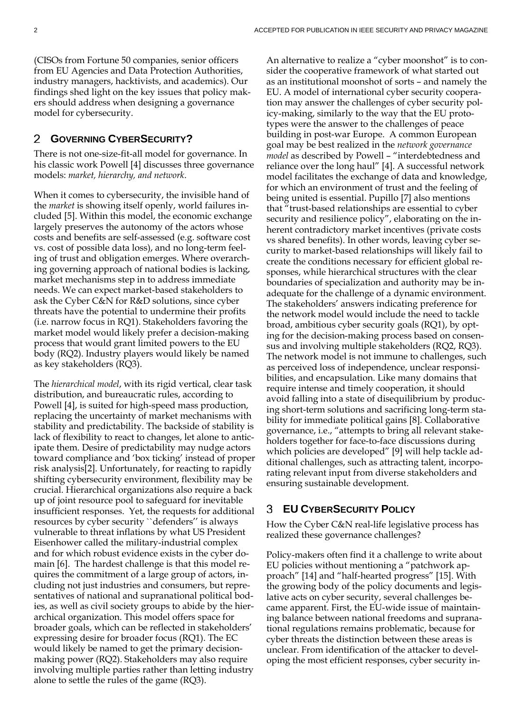(CISOs from Fortune 50 companies, senior officers from EU Agencies and Data Protection Authorities, industry managers, hacktivists, and academics). Our findings shed light on the key issues that policy makers should address when designing a governance model for cybersecurity.

#### 2 **GOVERNING CYBERSECURITY?**

There is not one-size-fit-all model for governance. In his classic work Powell [\[4\]](#page-6-3) discusses three governance models: *market, hierarchy, and network*.

When it comes to cybersecurity, the invisible hand of the *market* is showing itself openly, world failures include[d \[5\].](#page-6-4) Within this model, the economic exchange largely preserves the autonomy of the actors whose costs and benefits are self-assessed (e.g. software cost vs. cost of possible data loss), and no long-term feeling of trust and obligation emerges. Where overarching governing approach of national bodies is lacking, market mechanisms step in to address immediate needs. We can expect market-based stakeholders to ask the Cyber C&N for R&D solutions, since cyber threats have the potential to undermine their profits (i.e. narrow focus in RQ1). Stakeholders favoring the market model would likely prefer a decision-making process that would grant limited powers to the EU body (RQ2). Industry players would likely be named as key stakeholders (RQ3).

The *hierarchical model*, with its rigid vertical, clear task distribution, and bureaucratic rules, according to Powell [\[4\],](#page-6-3) is suited for high-speed mass production, replacing the uncertainty of market mechanisms with stability and predictability. The backside of stability is lack of flexibility to react to changes, let alone to anticipate them. Desire of predictability may nudge actors toward compliance and 'box ticking' instead of proper risk analysi[s\[2\].](#page-6-1) Unfortunately, for reacting to rapidly shifting cybersecurity environment, flexibility may be crucial. Hierarchical organizations also require a back up of joint resource pool to safeguard for inevitable insufficient responses. Yet, the requests for additional resources by cyber security ``defenders'' is always vulnerable to threat inflations by what US President Eisenhower called the military-industrial complex and for which robust evidence exists in the cyber domain [\[6\].](#page-6-5) The hardest challenge is that this model requires the commitment of a large group of actors, including not just industries and consumers, but representatives of national and supranational political bodies, as well as civil society groups to abide by the hierarchical organization. This model offers space for broader goals, which can be reflected in stakeholders' expressing desire for broader focus (RQ1). The EC would likely be named to get the primary decisionmaking power (RQ2). Stakeholders may also require involving multiple parties rather than letting industry alone to settle the rules of the game (RQ3).

An alternative to realize a "cyber moonshot" is to consider the cooperative framework of what started out as an institutional moonshot of sorts – and namely the EU. A model of international cyber security cooperation may answer the challenges of cyber security policy-making, similarly to the way that the EU prototypes were the answer to the challenges of peace building in post-war Europe. A common European goal may be best realized in the *network governance model* as described by Powell – "interdebtedness and reliance over the long haul" [\[4\].](#page-6-3) A successful network model facilitates the exchange of data and knowledge, for which an environment of trust and the feeling of being united is essential. Pupillo [\[7\]](#page-6-6) also mentions that "trust-based relationships are essential to cyber security and resilience policy", elaborating on the inherent contradictory market incentives (private costs vs shared benefits). In other words, leaving cyber security to market-based relationships will likely fail to create the conditions necessary for efficient global responses, while hierarchical structures with the clear boundaries of specialization and authority may be inadequate for the challenge of a dynamic environment. The stakeholders' answers indicating preference for the network model would include the need to tackle broad, ambitious cyber security goals (RQ1), by opting for the decision-making process based on consensus and involving multiple stakeholders (RQ2, RQ3). The network model is not immune to challenges, such as perceived loss of independence, unclear responsibilities, and encapsulation. Like many domains that require intense and timely cooperation, it should avoid falling into a state of disequilibrium by producing short-term solutions and sacrificing long-term stability for immediate political gain[s \[8\].](#page-6-7) Collaborative governance, i.e., "attempts to bring all relevant stakeholders together for face-to-face discussions during which policies are developed" [\[9\]](#page-6-8) will help tackle additional challenges, such as attracting talent, incorporating relevant input from diverse stakeholders and ensuring sustainable development.

## **EU CYBERSECURITY POLICY**

How the Cyber C&N real-life legislative process has realized these governance challenges?

Policy-makers often find it a challenge to write about EU policies without mentioning a "patchwork approach[" \[14\]](#page-7-0) and "half-hearted progress[" \[15\].](#page-7-1) With the growing body of the policy documents and legislative acts on cyber security, several challenges became apparent. First, the EU-wide issue of maintaining balance between national freedoms and supranational regulations remains problematic, because for cyber threats the distinction between these areas is unclear. From identification of the attacker to developing the most efficient responses, cyber security in-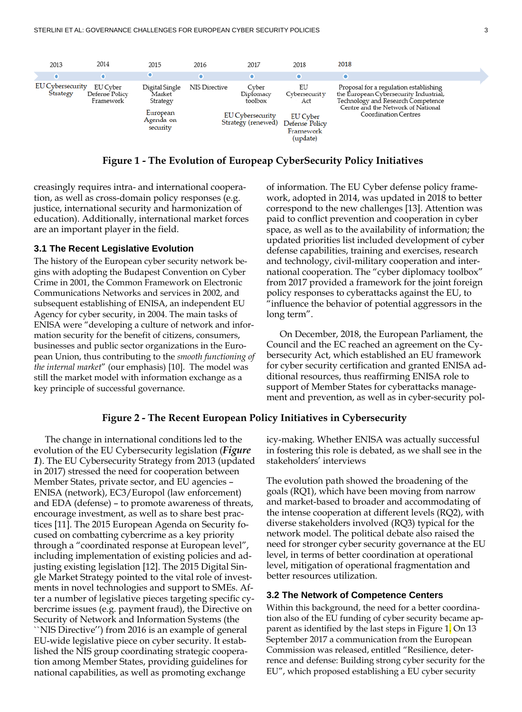

**Figure 1 - The Evolution of Europeap CyberSecurity Policy Initiatives**

creasingly requires intra- and international cooperation, as well as cross-domain policy responses (e.g. justice, international security and harmonization of education). Additionally, international market forces are an important player in the field.

#### **3.1 The Recent Legislative Evolution**

The history of the European cyber security network begins with adopting the Budapest Convention on Cyber Crime in 2001, the Common Framework on Electronic Communications Networks and services in 2002, and subsequent establishing of ENISA, an independent EU Agency for cyber security, in 2004. The main tasks of ENISA were "developing a culture of network and information security for the benefit of citizens, consumers, businesses and public sector organizations in the European Union, thus contributing to the *smooth functioning of the internal market*" (our emphasis) [\[10\].](#page-6-9) The model was still the market model with information exchange as a key principle of successful governance.

of information. The EU Cyber defense policy framework, adopted in 2014, was updated in 2018 to better correspond to the new challenges [\[13\].](#page-7-4) Attention was paid to conflict prevention and cooperation in cyber space, as well as to the availability of information; the updated priorities list included development of cyber defense capabilities, training and exercises, research and technology, civil-military cooperation and international cooperation. The "cyber diplomacy toolbox" from 2017 provided a framework for the joint foreign policy responses to cyberattacks against the EU, to "influence the behavior of potential aggressors in the long term".

On December, 2018, the European Parliament, the Council and the EC reached an agreement on the Cybersecurity Act, which established an EU framework for cyber security certification and granted ENISA additional resources, thus reaffirming ENISA role to support of Member States for cyberattacks management and prevention, as well as in cyber-security pol-

### **Figure 2 - The Recent European Policy Initiatives in Cybersecurity**

<span id="page-2-0"></span>The change in international conditions led to the evolution of the EU Cybersecurity legislation (*[Figure](#page-2-0)  [1](#page-2-0)*). The EU Cybersecurity Strategy from 2013 (updated in 2017) stressed the need for cooperation between Member States, private sector, and EU agencies – ENISA (network), EC3/Europol (law enforcement) and EDA (defense) – to promote awareness of threats, encourage investment, as well as to share best practices [\[11\].](#page-7-2) The 2015 European Agenda on Security focused on combatting cybercrime as a key priority through a "coordinated response at European level", including implementation of existing policies and adjusting existing legislation [\[12\].](#page-7-3) The 2015 Digital Single Market Strategy pointed to the vital role of investments in novel technologies and support to SMEs. After a number of legislative pieces targeting specific cybercrime issues (e.g. payment fraud), the Directive on Security of Network and Information Systems (the ``NIS Directive'') from 2016 is an example of general EU-wide legislative piece on cyber security. It established the NIS group coordinating strategic cooperation among Member States, providing guidelines for national capabilities, as well as promoting exchange

icy-making. Whether ENISA was actually successful in fostering this role is debated, as we shall see in the stakeholders' interviews

The evolution path showed the broadening of the goals (RQ1), which have been moving from narrow and market-based to broader and accommodating of the intense cooperation at different levels (RQ2), with diverse stakeholders involved (RQ3) typical for the network model. The political debate also raised the need for stronger cyber security governance at the EU level, in terms of better coordination at operational level, mitigation of operational fragmentation and better resources utilization.

#### **3.2 The Network of Competence Centers**

Within this background, the need for a better coordination also of the EU funding of cyber security became apparent as identified by the last steps in Figure 1. On 13 September 2017 a communication from the European Commission was released, entitled "Resilience, deterrence and defense: Building strong cyber security for the EU", which proposed establishing a EU cyber security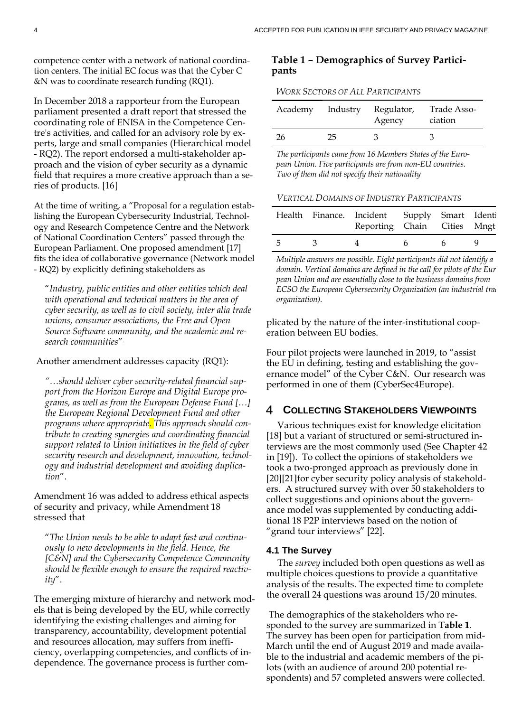competence center with a network of national coordination centers. The initial EC focus was that the Cyber C &N was to coordinate research funding (RQ1).

In December 2018 a rapporteur from the European parliament presented a draft report that stressed the coordinating role of ENISA in the Competence Centre's activities, and called for an advisory role by experts, large and small companies (Hierarchical model - RQ2). The report endorsed a multi-stakeholder approach and the vision of cyber security as a dynamic field that requires a more creative approach than a series of products. [\[16\]](#page-7-5)

At the time of writing, a "Proposal for a regulation establishing the European Cybersecurity Industrial, Technology and Research Competence Centre and the Network of National Coordination Centers" passed through the European Parliament. One proposed amendment [\[17\]](#page-7-6) fits the idea of collaborative governance (Network model - RQ2) by explicitly defining stakeholders as

"*Industry, public entities and other entities which deal with operational and technical matters in the area of cyber security, as well as to civil society, inter alia trade unions, consumer associations, the Free and Open Source Software community, and the academic and research communities*".

Another amendment addresses capacity (RQ1):

*"…should deliver cyber security-related financial support from the Horizon Europe and Digital Europe programs, as well as from the European Defense Fund […] the European Regional Development Fund and other programs where appropriate. This approach should contribute to creating synergies and coordinating financial support related to Union initiatives in the field of cyber security research and development, innovation, technology and industrial development and avoiding duplication*".

Amendment 16 was added to address ethical aspects of security and privacy, while Amendment 18 stressed that

"*The Union needs to be able to adapt fast and continuously to new developments in the field. Hence, the [C&N] and the Cybersecurity Competence Community should be flexible enough to ensure the required reactivity*".

The emerging mixture of hierarchy and network models that is being developed by the EU, while correctly identifying the existing challenges and aiming for transparency, accountability, development potential and resources allocation, may suffers from inefficiency, overlapping competencies, and conflicts of independence. The governance process is further com-

### **Table 1 – Demographics of Survey Participants**

#### *WORK SECTORS OF ALL PARTICIPANTS*

|    |     | Academy Industry Regulator,<br>Agency | Trade Asso-<br>ciation |
|----|-----|---------------------------------------|------------------------|
| 26 | 25. | $\mathcal{A}$                         |                        |

*The participants came from 16 Members States of the European Union. Five participants are from non-EU countries. Two of them did not specify their nationality*

| <b>VERTICAL DOMAINS OF INDUSTRY PARTICIPANTS</b> |  |
|--------------------------------------------------|--|
|--------------------------------------------------|--|

|     |              | Health Finance. Incident Supply Smart Identi<br>Reporting Chain Cities Mngt |    |                 |  |
|-----|--------------|-----------------------------------------------------------------------------|----|-----------------|--|
| - 5 | $\mathbf{3}$ |                                                                             | 6. | $6\overline{6}$ |  |

*Multiple answers are possible. Eight participants did not identify a domain. Vertical domains are defined in the call for pilots of the Eur pean Union and are essentially close to the business domains from ECSO the European Cybersecurity Organization (an industrial trad organization).*

plicated by the nature of the inter-institutional cooperation between EU bodies.

Four pilot projects were launched in 2019, to "assist the EU in defining, testing and establishing the governance model" of the Cyber C&N. Our research was performed in one of them (CyberSec4Europe).

#### 4 **COLLECTING STAKEHOLDERS VIEWPOINTS**

Various techniques exist for knowledge elicitation [\[18\]](#page-7-7) but a variant of structured or semi-structured interviews are the most commonly used (See Chapter 42 i[n \[19\]\)](#page-7-8). To collect the opinions of stakeholders we took a two-pronged approach as previously done in [\[20\]\[21\]f](#page-7-9)or cyber security policy analysis of stakeholders. A structured survey with over 50 stakeholders to collect suggestions and opinions about the governance model was supplemented by conducting additional 18 P2P interviews based on the notion of "grand tour interviews" [\[22\].](#page-7-10) 

### **4.1 The Survey**

The *survey* included both open questions as well as multiple choices questions to provide a quantitative analysis of the results. The expected time to complete the overall 24 questions was around 15/20 minutes.

The demographics of the stakeholders who responded to the survey are summarized in **Table 1**. The survey has been open for participation from mid-March until the end of August 2019 and made available to the industrial and academic members of the pilots (with an audience of around 200 potential respondents) and 57 completed answers were collected.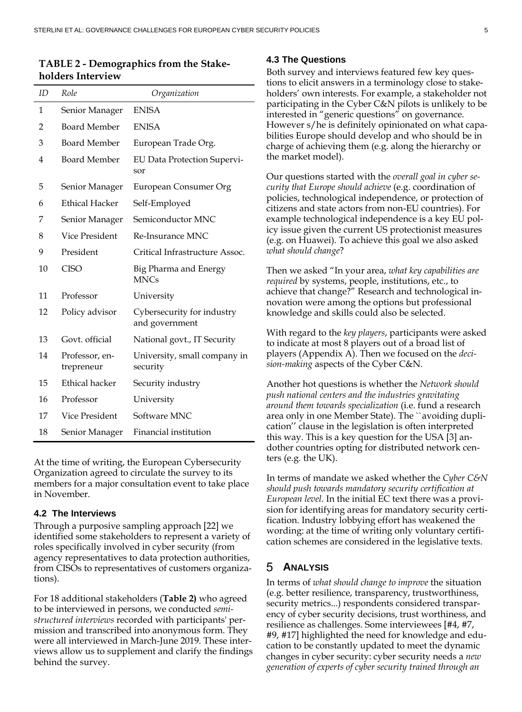### **TABLE 2 - Demographics from the Stakeholders Interview**

| ID | Role                         | Organization                                 |
|----|------------------------------|----------------------------------------------|
| 1  | Senior Manager               | <b>ENISA</b>                                 |
| 2  | <b>Board Member</b>          | <b>ENISA</b>                                 |
| 3  | <b>Board Member</b>          | European Trade Org.                          |
| 4  | <b>Board Member</b>          | <b>EU Data Protection Supervi-</b><br>sor    |
| 5  | Senior Manager               | European Consumer Org                        |
| 6  | <b>Ethical Hacker</b>        | Self-Employed                                |
| 7  | Senior Manager               | Semiconductor MNC                            |
| 8  | Vice President               | Re-Insurance MNC                             |
| 9  | President                    | Critical Infrastructure Assoc.               |
| 10 | <b>CISO</b>                  | Big Pharma and Energy<br><b>MNCs</b>         |
| 11 | Professor                    | University                                   |
| 12 | Policy advisor               | Cybersecurity for industry<br>and government |
| 13 | Govt. official               | National govt., IT Security                  |
| 14 | Professor, en-<br>trepreneur | University, small company in<br>security     |
| 15 | <b>Ethical hacker</b>        | Security industry                            |
| 16 | Professor                    | University                                   |
| 17 | <b>Vice President</b>        | Software MNC                                 |
| 18 | Senior Manager               | Financial institution                        |

At the time of writing, the European Cybersecurity Organization agreed to circulate the survey to its members for a major consultation event to take place in November.

### **4.2 The Interviews**

Through a purposive sampling approach [\[22\]](#page-7-10) we identified some stakeholders to represent a variety of roles specifically involved in cyber security (from agency representatives to data protection authorities, from CISOs to representatives of customers organizations).

For 18 additional stakeholders (**Table 2)** who agreed to be interviewed in persons, we conducted *semistructured interviews* recorded with participants' permission and transcribed into anonymous form. They were all interviewed in March-June 2019. These interviews allow us to supplement and clarify the findings behind the survey.

### **4.3 The Questions**

Both survey and interviews featured few key questions to elicit answers in a terminology close to stakeholders' own interests. For example, a stakeholder not participating in the Cyber C&N pilots is unlikely to be interested in "generic questions" on governance. However s/he is definitely opinionated on what capabilities Europe should develop and who should be in charge of achieving them (e.g. along the hierarchy or the market model).

Our questions started with the *overall goal in cyber security that Europe should achieve* (e.g. coordination of policies, technological independence, or protection of citizens and state actors from non-EU countries). For example technological independence is a key EU policy issue given the current US protectionist measures (e.g. on Huawei). To achieve this goal we also asked *what should change*?

Then we asked "In your area, *what key capabilities are required* by systems, people, institutions, etc., to achieve that change?" Research and technological innovation were among the options but professional knowledge and skills could also be selected.

With regard to the *key players*, participants were asked to indicate at most 8 players out of a broad list of players (Appendix A). Then we focused on the *decision-making* aspects of the Cyber C&N.

Another hot questions is whether the *Network should push national centers and the industries gravitating around them towards specialization* (i.e. fund a research area only in one Member State). The ``avoiding duplication'' clause in the legislation is often interpreted this way. This is a key question for the USA [\[3\]](#page-6-2) andother countries opting for distributed network centers (e.g. the UK).

In terms of mandate we asked whether the *Cyber C&N should push towards mandatory security certification at European level*. In the initial EC text there was a provision for identifying areas for mandatory security certification. Industry lobbying effort has weakened the wording: at the time of writing only voluntary certification schemes are considered in the legislative texts.

#### 5 **ANALYSIS**

In terms of *what should change to improve* the situation (e.g. better resilience, transparency, trustworthiness, security metrics...) respondents considered transparency of cyber security decisions, trust worthiness, and resilience as challenges. Some interviewees [#4, #7, #9, #17] highlighted the need for knowledge and education to be constantly updated to meet the dynamic changes in cyber security: cyber security needs a *new generation of experts of cyber security trained through an*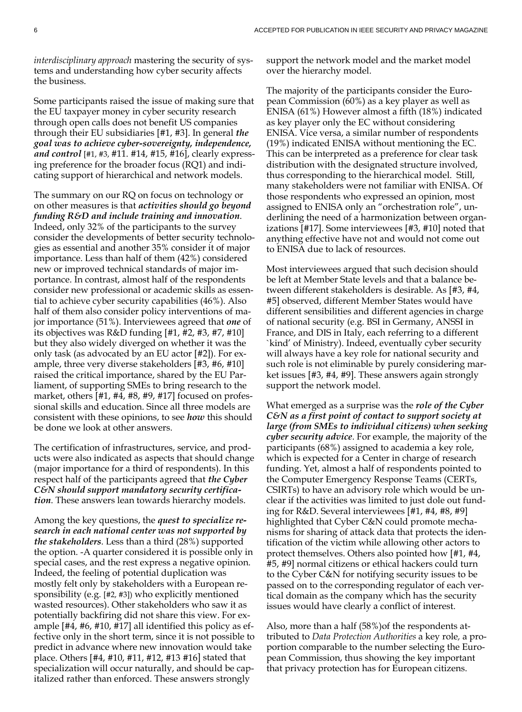*interdisciplinary approach* mastering the security of systems and understanding how cyber security affects the business.

Some participants raised the issue of making sure that the EU taxpayer money in cyber security research through open calls does not benefit US companies through their EU subsidiaries [#1, #3]. In general *the goal was to achieve cyber-sovereignty, independence, and control* [#1, #3, #11. #14, #15, #16], clearly expressing preference for the broader focus (RQ1) and indicating support of hierarchical and network models.

The summary on our RQ on focus on technology or on other measures is that *activities should go beyond funding R&D and include training and innovation*. Indeed, only 32% of the participants to the survey consider the developments of better security technologies as essential and another 35% consider it of major importance. Less than half of them (42%) considered new or improved technical standards of major importance. In contrast, almost half of the respondents consider new professional or academic skills as essential to achieve cyber security capabilities (46%). Also half of them also consider policy interventions of major importance (51%). Interviewees agreed that *one* of its objectives was R&D funding [#1, #2, #3, #7, #10] but they also widely diverged on whether it was the only task (as advocated by an EU actor [#2]). For example, three very diverse stakeholders [#3, #6, #10] raised the critical importance, shared by the EU Parliament, of supporting SMEs to bring research to the market, others [#1, #4, #8, #9, #17] focused on professional skills and education. Since all three models are consistent with these opinions, to see *how* this should be done we look at other answers.

The certification of infrastructures, service, and products were also indicated as aspects that should change (major importance for a third of respondents). In this respect half of the participants agreed that *the Cyber C&N should support mandatory security certification*. These answers lean towards hierarchy models.

Among the key questions, the *quest to specialize research in each national center was not supported by the stakeholders*. Less than a third (28%) supported the option. -A quarter considered it is possible only in special cases, and the rest express a negative opinion. Indeed, the feeling of potential duplication was mostly felt only by stakeholders with a European responsibility (e.g. [#2, #3]) who explicitly mentioned wasted resources). Other stakeholders who saw it as potentially backfiring did not share this view. For example [#4, #6, #10, #17] all identified this policy as effective only in the short term, since it is not possible to predict in advance where new innovation would take place. Others [#4, #10, #11, #12, #13 #16] stated that specialization will occur naturally, and should be capitalized rather than enforced. These answers strongly

support the network model and the market model over the hierarchy model.

The majority of the participants consider the European Commission (60%) as a key player as well as ENISA (61%) However almost a fifth (18%) indicated as key player only the EC without considering ENISA. Vice versa, a similar number of respondents (19%) indicated ENISA without mentioning the EC. This can be interpreted as a preference for clear task distribution with the designated structure involved, thus corresponding to the hierarchical model. Still, many stakeholders were not familiar with ENISA. Of those respondents who expressed an opinion, most assigned to ENISA only an "orchestration role", underlining the need of a harmonization between organizations [#17]. Some interviewees [#3, #10] noted that anything effective have not and would not come out to ENISA due to lack of resources.

Most interviewees argued that such decision should be left at Member State levels and that a balance between different stakeholders is desirable. As [#3, #4, #5] observed, different Member States would have different sensibilities and different agencies in charge of national security (e.g. BSI in Germany, ANSSI in France, and DIS in Italy, each referring to a different `kind' of Ministry). Indeed, eventually cyber security will always have a key role for national security and such role is not eliminable by purely considering market issues [#3, #4, #9]. These answers again strongly support the network model.

What emerged as a surprise was the *role of the Cyber C&N as a first point of contact to support society at large (from SMEs to individual citizens) when seeking cyber security advice*. For example, the majority of the participants (68%) assigned to academia a key role, which is expected for a Center in charge of research funding. Yet, almost a half of respondents pointed to the Computer Emergency Response Teams (CERTs, CSIRTs) to have an advisory role which would be unclear if the activities was limited to just dole out funding for R&D. Several interviewees [#1, #4, #8, #9] highlighted that Cyber C&N could promote mechanisms for sharing of attack data that protects the identification of the victim while allowing other actors to protect themselves. Others also pointed how [#1, #4, #5, #9] normal citizens or ethical hackers could turn to the Cyber C&N for notifying security issues to be passed on to the corresponding regulator of each vertical domain as the company which has the security issues would have clearly a conflict of interest.

Also, more than a half (58%)of the respondents attributed to *Data Protection Authorities* a key role*,* a proportion comparable to the number selecting the European Commission, thus showing the key important that privacy protection has for European citizens.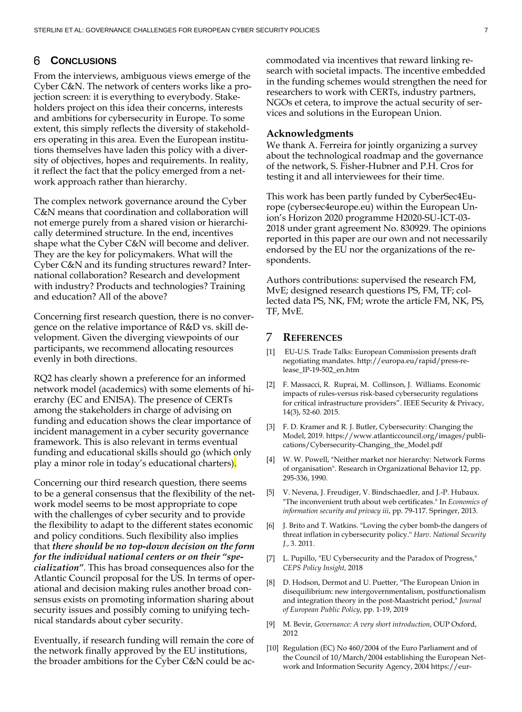#### 6 **CONCLUSIONS**

From the interviews, ambiguous views emerge of the Cyber C&N. The network of centers works like a projection screen: it is everything to everybody. Stakeholders project on this idea their concerns, interests and ambitions for cybersecurity in Europe. To some extent, this simply reflects the diversity of stakeholders operating in this area. Even the European institutions themselves have laden this policy with a diversity of objectives, hopes and requirements. In reality, it reflect the fact that the policy emerged from a network approach rather than hierarchy.

The complex network governance around the Cyber C&N means that coordination and collaboration will not emerge purely from a shared vision or hierarchically determined structure. In the end, incentives shape what the Cyber C&N will become and deliver. They are the key for policymakers. What will the Cyber C&N and its funding structures reward? International collaboration? Research and development with industry? Products and technologies? Training and education? All of the above?

Concerning first research question, there is no convergence on the relative importance of R&D vs. skill development. Given the diverging viewpoints of our participants, we recommend allocating resources evenly in both directions.

RQ2 has clearly shown a preference for an informed network model (academics) with some elements of hierarchy (EC and ENISA). The presence of CERTs among the stakeholders in charge of advising on funding and education shows the clear importance of incident management in a cyber security governance framework. This is also relevant in terms eventual funding and educational skills should go (which only play a minor role in today's educational charters).

Concerning our third research question, there seems to be a general consensus that the flexibility of the network model seems to be most appropriate to cope with the challenges of cyber security and to provide the flexibility to adapt to the different states economic and policy conditions. Such flexibility also implies that *there should be no top-down decision on the form for the individual national centers or on their "specialization"*. This has broad consequences also for the Atlantic Council proposal for the US. In terms of operational and decision making rules another broad consensus exists on promoting information sharing about security issues and possibly coming to unifying technical standards about cyber security.

Eventually, if research funding will remain the core of the network finally approved by the EU institutions, the broader ambitions for the Cyber C&N could be accommodated via incentives that reward linking research with societal impacts. The incentive embedded in the funding schemes would strengthen the need for researchers to work with CERTs, industry partners, NGOs et cetera, to improve the actual security of services and solutions in the European Union.

#### **Acknowledgments**

We thank A. Ferreira for jointly organizing a survey about the technological roadmap and the governance of the network, S. Fisher-Hubner and P.H. Cros for testing it and all interviewees for their time.

This work has been partly funded by CyberSec4Europe (cybersec4europe.eu) within the European Union's Horizon 2020 programme H2020-SU-ICT-03- 2018 under grant agreement No. 830929. The opinions reported in this paper are our own and not necessarily endorsed by the EU nor the organizations of the respondents.

Authors contributions: supervised the research FM, MvE; designed research questions PS, FM, TF; collected data PS, NK, FM; wrote the article FM, NK, PS, TF, MvE.

#### 7 **REFERENCES**

- <span id="page-6-0"></span>[1] EU-U.S. Trade Talks: European Commission presents draft negotiating mandates. http://europa.eu/rapid/press-release\_IP-19-502\_en.htm
- <span id="page-6-1"></span>[2] F. Massacci, R. Ruprai, M. Collinson, J. Williams. Economic impacts of rules-versus risk-based cybersecurity regulations for critical infrastructure providers". IEEE Security & Privacy, 14(3), 52-60. 2015.
- <span id="page-6-2"></span>[3] F. D. Kramer and R. J. Butler, Cybersecurity: Changing the Model, 2019. https://www.atlanticcouncil.org/images/publications/Cybersecurity-Changing\_the\_Model.pdf
- <span id="page-6-3"></span>[4] W. W. Powell, "Neither market nor hierarchy: Network Forms of organisation". Research in Organizational Behavior 12, pp. 295-336, 1990.
- <span id="page-6-4"></span>[5] V. Nevena, J. Freudiger, V. Bindschaedler, and J.-P. Hubaux. "The inconvenient truth about web certificates." In *Economics of information security and privacy iii*, pp. 79-117. Springer, 2013.
- <span id="page-6-5"></span>[6] J. Brito and T. Watkins. "Loving the cyber bomb-the dangers of threat inflation in cybersecurity policy." *Harv. National Security J.*, 3. 2011.
- <span id="page-6-6"></span>[7] L. Pupillo, "EU Cybersecurity and the Paradox of Progress," *CEPS Policy Insight*, 2018
- <span id="page-6-7"></span>[8] D. Hodson, Dermot and U. Puetter, "The European Union in disequilibrium: new intergovernmentalism, postfunctionalism and integration theory in the post-Maastricht period," *Journal of European Public Policy*, pp. 1-19, 2019
- <span id="page-6-8"></span>[9] M. Bevir, *Governance: A very short introduction*, OUP Oxford, 2012
- <span id="page-6-9"></span>[10] Regulation (EC) No 460/2004 of the Euro Parliament and of the Council of 10/March/2004 establishing the European Network and Information Security Agency, 2004 https://eur-